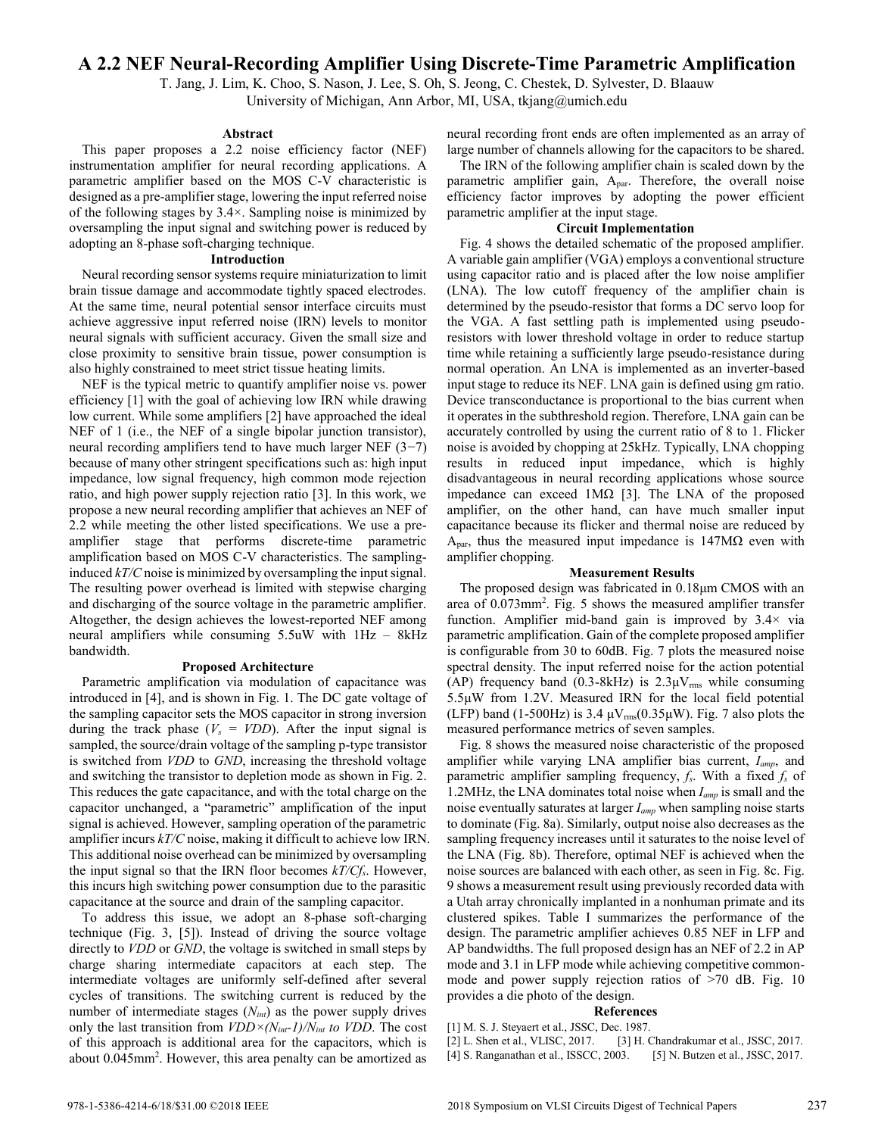# **A 2.2 NEF Neural-Recording Amplifier Using Discrete-Time Parametric Amplification**

T. Jang, J. Lim, K. Choo, S. Nason, J. Lee, S. Oh, S. Jeong, C. Chestek, D. Sylvester, D. Blaauw University of Michigan, Ann Arbor, MI, USA, tkjang@umich.edu

### **Abstract**

This paper proposes a 2.2 noise efficiency factor (NEF) instrumentation amplifier for neural recording applications. A parametric amplifier based on the MOS C-V characteristic is designed as a pre-amplifier stage, lowering the input referred noise of the following stages by 3.4×. Sampling noise is minimized by oversampling the input signal and switching power is reduced by adopting an 8-phase soft-charging technique.

## **Introduction**

Neural recording sensor systems require miniaturization to limit brain tissue damage and accommodate tightly spaced electrodes. At the same time, neural potential sensor interface circuits must achieve aggressive input referred noise (IRN) levels to monitor neural signals with sufficient accuracy. Given the small size and close proximity to sensitive brain tissue, power consumption is also highly constrained to meet strict tissue heating limits.

NEF is the typical metric to quantify amplifier noise vs. power efficiency [1] with the goal of achieving low IRN while drawing low current. While some amplifiers [2] have approached the ideal NEF of 1 (i.e., the NEF of a single bipolar junction transistor), neural recording amplifiers tend to have much larger NEF (3−7) because of many other stringent specifications such as: high input impedance, low signal frequency, high common mode rejection ratio, and high power supply rejection ratio [3]. In this work, we propose a new neural recording amplifier that achieves an NEF of 2.2 while meeting the other listed specifications. We use a preamplifier stage that performs discrete-time parametric amplification based on MOS C-V characteristics. The samplinginduced *kT/C* noise is minimized by oversampling the input signal. The resulting power overhead is limited with stepwise charging and discharging of the source voltage in the parametric amplifier. Altogether, the design achieves the lowest-reported NEF among neural amplifiers while consuming 5.5uW with 1Hz – 8kHz bandwidth.

### **Proposed Architecture**

Parametric amplification via modulation of capacitance was introduced in [4], and is shown in Fig. 1. The DC gate voltage of the sampling capacitor sets the MOS capacitor in strong inversion during the track phase  $(V_s = VDD)$ . After the input signal is sampled, the source/drain voltage of the sampling p-type transistor is switched from *VDD* to *GND*, increasing the threshold voltage and switching the transistor to depletion mode as shown in Fig. 2. This reduces the gate capacitance, and with the total charge on the capacitor unchanged, a "parametric" amplification of the input signal is achieved. However, sampling operation of the parametric amplifier incurs *kT/C* noise, making it difficult to achieve low IRN. This additional noise overhead can be minimized by oversampling the input signal so that the IRN floor becomes *kT/Cfs*. However, this incurs high switching power consumption due to the parasitic capacitance at the source and drain of the sampling capacitor.

To address this issue, we adopt an 8-phase soft-charging technique (Fig. 3, [5]). Instead of driving the source voltage directly to *VDD* or *GND*, the voltage is switched in small steps by charge sharing intermediate capacitors at each step. The intermediate voltages are uniformly self-defined after several cycles of transitions. The switching current is reduced by the number of intermediate stages (*Nint*) as the power supply drives only the last transition from  $VDD \times (N_{int} - 1)/N_{int}$  to  $VDD$ . The cost of this approach is additional area for the capacitors, which is about 0.045mm<sup>2</sup> . However, this area penalty can be amortized as neural recording front ends are often implemented as an array of large number of channels allowing for the capacitors to be shared.

The IRN of the following amplifier chain is scaled down by the parametric amplifier gain, Apar. Therefore, the overall noise efficiency factor improves by adopting the power efficient parametric amplifier at the input stage.

## **Circuit Implementation**

Fig. 4 shows the detailed schematic of the proposed amplifier. A variable gain amplifier (VGA) employs a conventional structure using capacitor ratio and is placed after the low noise amplifier (LNA). The low cutoff frequency of the amplifier chain is determined by the pseudo-resistor that forms a DC servo loop for the VGA. A fast settling path is implemented using pseudoresistors with lower threshold voltage in order to reduce startup time while retaining a sufficiently large pseudo-resistance during normal operation. An LNA is implemented as an inverter-based input stage to reduce its NEF. LNA gain is defined using gm ratio. Device transconductance is proportional to the bias current when it operates in the subthreshold region. Therefore, LNA gain can be accurately controlled by using the current ratio of 8 to 1. Flicker noise is avoided by chopping at 25kHz. Typically, LNA chopping results in reduced input impedance, which is highly disadvantageous in neural recording applications whose source impedance can exceed 1MΩ [3]. The LNA of the proposed amplifier, on the other hand, can have much smaller input capacitance because its flicker and thermal noise are reduced by  $A<sub>par</sub>$ , thus the measured input impedance is 147MΩ even with amplifier chopping.

#### **Measurement Results**

The proposed design was fabricated in 0.18μm CMOS with an area of 0.073mm<sup>2</sup>. Fig. 5 shows the measured amplifier transfer function. Amplifier mid-band gain is improved by 3.4× via parametric amplification. Gain of the complete proposed amplifier is configurable from 30 to 60dB. Fig. 7 plots the measured noise spectral density. The input referred noise for the action potential (AP) frequency band (0.3-8kHz) is  $2.3 \mu V_{\text{rms}}$  while consuming 5.5μW from 1.2V. Measured IRN for the local field potential (LFP) band (1-500Hz) is 3.4  $\mu$ V<sub>rms</sub>(0.35 $\mu$ W). Fig. 7 also plots the measured performance metrics of seven samples.

Fig. 8 shows the measured noise characteristic of the proposed amplifier while varying LNA amplifier bias current, *Iamp*, and parametric amplifier sampling frequency, *fs*. With a fixed *f<sup>s</sup>* of 1.2MHz, the LNA dominates total noise when *Iamp* is small and the noise eventually saturates at larger *Iamp* when sampling noise starts to dominate (Fig. 8a). Similarly, output noise also decreases as the sampling frequency increases until it saturates to the noise level of the LNA (Fig. 8b). Therefore, optimal NEF is achieved when the noise sources are balanced with each other, as seen in Fig. 8c. Fig. 9 shows a measurement result using previously recorded data with a Utah array chronically implanted in a nonhuman primate and its clustered spikes. Table I summarizes the performance of the design. The parametric amplifier achieves 0.85 NEF in LFP and AP bandwidths. The full proposed design has an NEF of 2.2 in AP mode and 3.1 in LFP mode while achieving competitive commonmode and power supply rejection ratios of >70 dB. Fig. 10 provides a die photo of the design.

#### **References**

[1] M. S. J. Steyaert et al., JSSC, Dec. 1987.

[2] L. Shen et al., VLISC, 2017. [3] H. Chandrakumar et al., JSSC, 2017. [4] S. Ranganathan et al., ISSCC, 2003. [5] N. Butzen et al., JSSC, 2017.